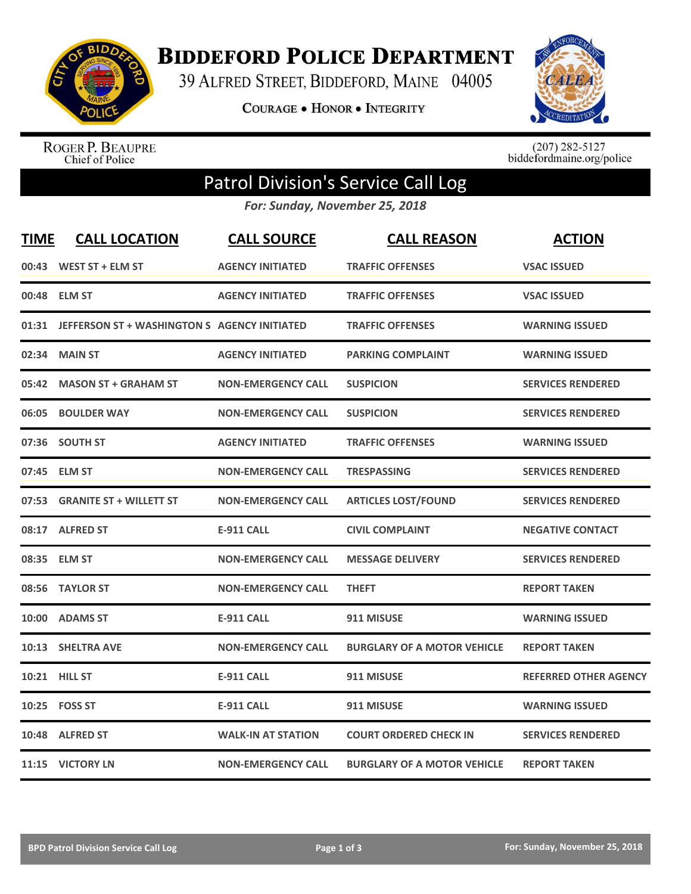

**BIDDEFORD POLICE DEPARTMENT** 

39 ALFRED STREET, BIDDEFORD, MAINE 04005

**COURAGE . HONOR . INTEGRITY** 



ROGER P. BEAUPRE<br>Chief of Police

 $(207)$  282-5127<br>biddefordmaine.org/police

## Patrol Division's Service Call Log

*For: Sunday, November 25, 2018*

| <b>TIME</b> | <b>CALL LOCATION</b>                               | <b>CALL SOURCE</b>        | <b>CALL REASON</b>                 | <b>ACTION</b>                |
|-------------|----------------------------------------------------|---------------------------|------------------------------------|------------------------------|
|             | 00:43 WEST ST + ELM ST                             | <b>AGENCY INITIATED</b>   | <b>TRAFFIC OFFENSES</b>            | <b>VSAC ISSUED</b>           |
|             | 00:48 ELM ST                                       | <b>AGENCY INITIATED</b>   | <b>TRAFFIC OFFENSES</b>            | <b>VSAC ISSUED</b>           |
|             | 01:31 JEFFERSON ST + WASHINGTON S AGENCY INITIATED |                           | <b>TRAFFIC OFFENSES</b>            | <b>WARNING ISSUED</b>        |
| 02:34       | <b>MAIN ST</b>                                     | <b>AGENCY INITIATED</b>   | <b>PARKING COMPLAINT</b>           | <b>WARNING ISSUED</b>        |
|             | 05:42 MASON ST + GRAHAM ST                         | <b>NON-EMERGENCY CALL</b> | <b>SUSPICION</b>                   | <b>SERVICES RENDERED</b>     |
| 06:05       | <b>BOULDER WAY</b>                                 | <b>NON-EMERGENCY CALL</b> | <b>SUSPICION</b>                   | <b>SERVICES RENDERED</b>     |
|             | 07:36 SOUTH ST                                     | <b>AGENCY INITIATED</b>   | <b>TRAFFIC OFFENSES</b>            | <b>WARNING ISSUED</b>        |
|             | 07:45 ELM ST                                       | <b>NON-EMERGENCY CALL</b> | <b>TRESPASSING</b>                 | <b>SERVICES RENDERED</b>     |
| 07:53       | <b>GRANITE ST + WILLETT ST</b>                     | <b>NON-EMERGENCY CALL</b> | <b>ARTICLES LOST/FOUND</b>         | <b>SERVICES RENDERED</b>     |
|             | 08:17 ALFRED ST                                    | <b>E-911 CALL</b>         | <b>CIVIL COMPLAINT</b>             | <b>NEGATIVE CONTACT</b>      |
|             | 08:35 ELM ST                                       | <b>NON-EMERGENCY CALL</b> | <b>MESSAGE DELIVERY</b>            | <b>SERVICES RENDERED</b>     |
| 08:56       | <b>TAYLOR ST</b>                                   | <b>NON-EMERGENCY CALL</b> | <b>THEFT</b>                       | <b>REPORT TAKEN</b>          |
|             | 10:00 ADAMS ST                                     | <b>E-911 CALL</b>         | 911 MISUSE                         | <b>WARNING ISSUED</b>        |
|             | 10:13 SHELTRA AVE                                  | <b>NON-EMERGENCY CALL</b> | <b>BURGLARY OF A MOTOR VEHICLE</b> | <b>REPORT TAKEN</b>          |
|             | 10:21 HILL ST                                      | <b>E-911 CALL</b>         | 911 MISUSE                         | <b>REFERRED OTHER AGENCY</b> |
|             | 10:25    FOSS ST                                   | <b>E-911 CALL</b>         | 911 MISUSE                         | <b>WARNING ISSUED</b>        |
|             | 10:48 ALFRED ST                                    | <b>WALK-IN AT STATION</b> | <b>COURT ORDERED CHECK IN</b>      | <b>SERVICES RENDERED</b>     |
|             | 11:15 VICTORY LN                                   | <b>NON-EMERGENCY CALL</b> | <b>BURGLARY OF A MOTOR VEHICLE</b> | <b>REPORT TAKEN</b>          |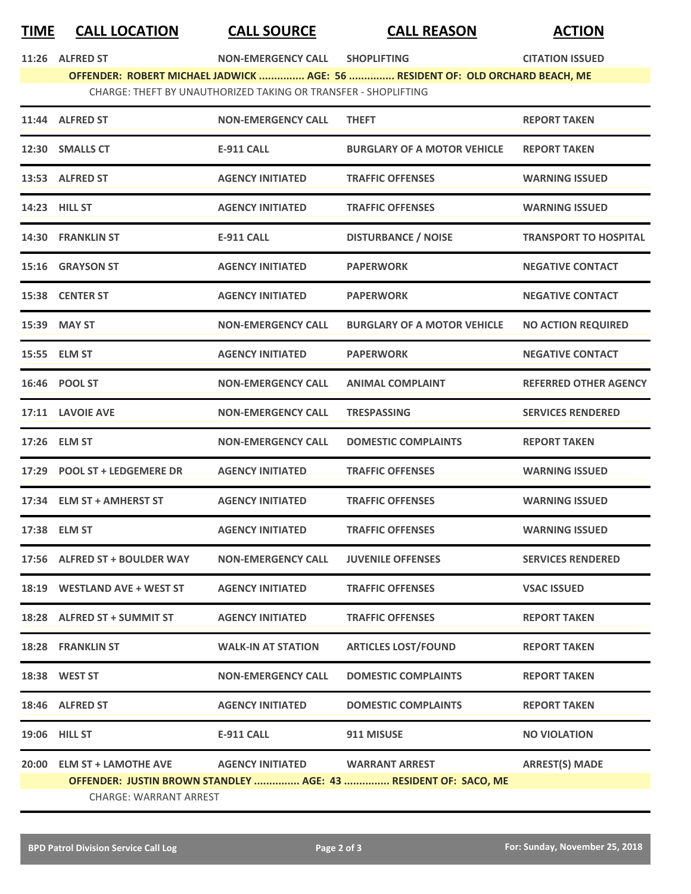## **TIME CALL LOCATION CALL SOURCE CALL REASON ACTION**

**11:266 IN:268 IN:268 IN:268 IN:268 IN:268 IN:268 IN:268 IN:268 IN:268 IN:268 IN:268 IN:268 IN:268 IN:268 IN:268 IN:268 IN:268 IN:268 IN:268 IN:268 IN:268 IN:268 IN:268 IN:268 IN:268 IN:268 IN:268 IN:268 IN:268 IN:268 IN:2 OFFENDER: ROBERT MICHAEL JADWICK ............... AGE: 56 ............... RESIDENT OF: OLD ORCHARD BEACH, ME** CHARGE: THEFT BY UNAUTHORIZED TAKING OR TRANSFER - SHOPLIFTING

|       | 11:44 ALFRED ST               | <b>NON-EMERGENCY CALL</b> | <b>THEFT</b>                                                    | <b>REPORT TAKEN</b>          |  |  |  |
|-------|-------------------------------|---------------------------|-----------------------------------------------------------------|------------------------------|--|--|--|
|       | 12:30 SMALLS CT               | <b>E-911 CALL</b>         | <b>BURGLARY OF A MOTOR VEHICLE</b>                              | <b>REPORT TAKEN</b>          |  |  |  |
|       | 13:53 ALFRED ST               | <b>AGENCY INITIATED</b>   | <b>TRAFFIC OFFENSES</b>                                         | <b>WARNING ISSUED</b>        |  |  |  |
|       | 14:23 HILL ST                 | <b>AGENCY INITIATED</b>   | <b>TRAFFIC OFFENSES</b>                                         | <b>WARNING ISSUED</b>        |  |  |  |
|       | 14:30 FRANKLIN ST             | <b>E-911 CALL</b>         | <b>DISTURBANCE / NOISE</b>                                      | <b>TRANSPORT TO HOSPITAL</b> |  |  |  |
|       | 15:16 GRAYSON ST              | <b>AGENCY INITIATED</b>   | <b>PAPERWORK</b>                                                | <b>NEGATIVE CONTACT</b>      |  |  |  |
|       | 15:38 CENTER ST               | <b>AGENCY INITIATED</b>   | <b>PAPERWORK</b>                                                | <b>NEGATIVE CONTACT</b>      |  |  |  |
|       | 15:39 MAY ST                  | <b>NON-EMERGENCY CALL</b> | <b>BURGLARY OF A MOTOR VEHICLE</b>                              | <b>NO ACTION REQUIRED</b>    |  |  |  |
|       | 15:55 ELM ST                  | <b>AGENCY INITIATED</b>   | <b>PAPERWORK</b>                                                | <b>NEGATIVE CONTACT</b>      |  |  |  |
|       | 16:46 POOL ST                 | <b>NON-EMERGENCY CALL</b> | <b>ANIMAL COMPLAINT</b>                                         | <b>REFERRED OTHER AGENCY</b> |  |  |  |
|       | 17:11 LAVOIE AVE              | <b>NON-EMERGENCY CALL</b> | <b>TRESPASSING</b>                                              | <b>SERVICES RENDERED</b>     |  |  |  |
|       | 17:26 ELM ST                  | <b>NON-EMERGENCY CALL</b> | <b>DOMESTIC COMPLAINTS</b>                                      | <b>REPORT TAKEN</b>          |  |  |  |
|       | 17:29 POOL ST + LEDGEMERE DR  | <b>AGENCY INITIATED</b>   | <b>TRAFFIC OFFENSES</b>                                         | <b>WARNING ISSUED</b>        |  |  |  |
|       | 17:34 ELM ST + AMHERST ST     | <b>AGENCY INITIATED</b>   | <b>TRAFFIC OFFENSES</b>                                         | <b>WARNING ISSUED</b>        |  |  |  |
|       | 17:38 ELM ST                  | <b>AGENCY INITIATED</b>   | <b>TRAFFIC OFFENSES</b>                                         | <b>WARNING ISSUED</b>        |  |  |  |
|       | 17:56 ALFRED ST + BOULDER WAY | <b>NON-EMERGENCY CALL</b> | <b>JUVENILE OFFENSES</b>                                        | <b>SERVICES RENDERED</b>     |  |  |  |
|       | 18:19 WESTLAND AVE + WEST ST  | <b>AGENCY INITIATED</b>   | <b>TRAFFIC OFFENSES</b>                                         | <b>VSAC ISSUED</b>           |  |  |  |
|       | 18:28 ALFRED ST + SUMMIT ST   | <b>AGENCY INITIATED</b>   | <b>TRAFFIC OFFENSES</b>                                         | <b>REPORT TAKEN</b>          |  |  |  |
|       | <b>18:28 FRANKLIN ST</b>      | <b>WALK-IN AT STATION</b> | <b>ARTICLES LOST/FOUND</b>                                      | <b>REPORT TAKEN</b>          |  |  |  |
|       | 18:38 WEST ST                 | <b>NON-EMERGENCY CALL</b> | <b>DOMESTIC COMPLAINTS</b>                                      | <b>REPORT TAKEN</b>          |  |  |  |
|       | 18:46 ALFRED ST               | <b>AGENCY INITIATED</b>   | <b>DOMESTIC COMPLAINTS</b>                                      | <b>REPORT TAKEN</b>          |  |  |  |
|       | 19:06 HILL ST                 | <b>E-911 CALL</b>         | 911 MISUSE                                                      | <b>NO VIOLATION</b>          |  |  |  |
| 20:00 | <b>ELM ST + LAMOTHE AVE</b>   | <b>AGENCY INITIATED</b>   | <b>WARRANT ARREST</b>                                           | <b>ARREST(S) MADE</b>        |  |  |  |
|       |                               |                           | OFFENDER: JUSTIN BROWN STANDLEY  AGE: 43  RESIDENT OF: SACO, ME |                              |  |  |  |
|       | <b>CHARGE: WARRANT ARREST</b> |                           |                                                                 |                              |  |  |  |